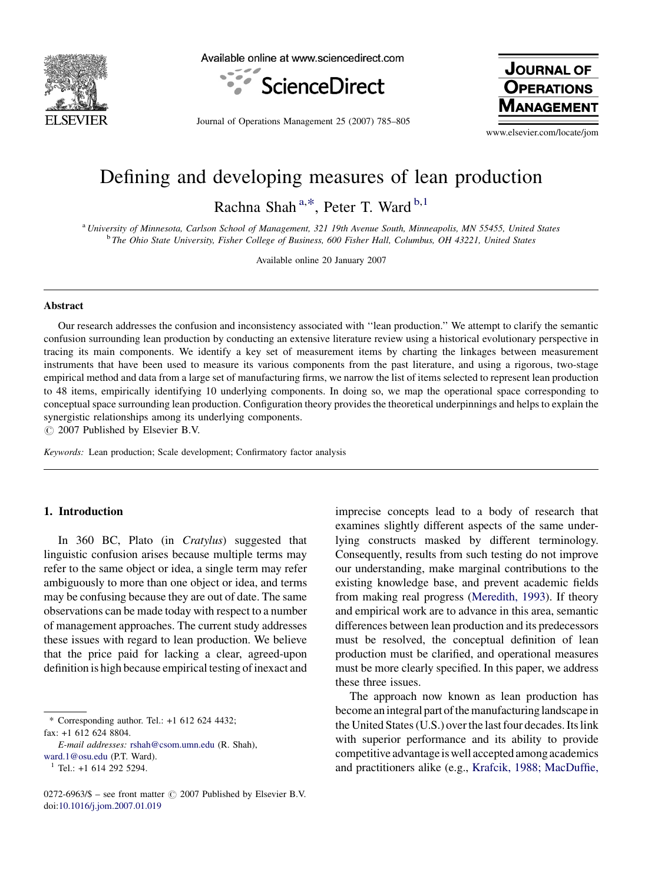

Available online at www.sciencedirect.com



Journal of Operations Management 25 (2007) 785–805

**JOURNAL OF OPERATIONS NAGEMENT** 

www.elsevier.com/locate/jom

## Defining and developing measures of lean production

Rachna Shah<sup>a,\*</sup>, Peter T. Ward<sup>b,1</sup>

<sup>a</sup> University of Minnesota, Carlson School of Management, 321 19th Avenue South, Minneapolis, MN 55455, United States <sup>b</sup> The Ohio State University, Fisher College of Business, 600 Fisher Hall, Columbus, OH 43221, United States

Available online 20 January 2007

#### Abstract

Our research addresses the confusion and inconsistency associated with ''lean production.'' We attempt to clarify the semantic confusion surrounding lean production by conducting an extensive literature review using a historical evolutionary perspective in tracing its main components. We identify a key set of measurement items by charting the linkages between measurement instruments that have been used to measure its various components from the past literature, and using a rigorous, two-stage empirical method and data from a large set of manufacturing firms, we narrow the list of items selected to represent lean production to 48 items, empirically identifying 10 underlying components. In doing so, we map the operational space corresponding to conceptual space surrounding lean production. Configuration theory provides the theoretical underpinnings and helps to explain the synergistic relationships among its underlying components.

 $\circ$  2007 Published by Elsevier B.V.

Keywords: Lean production; Scale development; Confirmatory factor analysis

#### 1. Introduction

In 360 BC, Plato (in Cratylus) suggested that linguistic confusion arises because multiple terms may refer to the same object or idea, a single term may refer ambiguously to more than one object or idea, and terms may be confusing because they are out of date. The same observations can be made today with respect to a number of management approaches. The current study addresses these issues with regard to lean production. We believe that the price paid for lacking a clear, agreed-upon definition is high because empirical testing of inexact and

\* Corresponding author. Tel.: +1 612 624 4432;  $fax: +1$  612, 624, 8804.

E-mail addresses: [rshah@csom.umn.edu](mailto:rshah@csom.umn.edu) (R. Shah),

[ward.1@osu.edu](mailto:ward.1@osu.edu) (P.T. Ward).

imprecise concepts lead to a body of research that examines slightly different aspects of the same underlying constructs masked by different terminology. Consequently, results from such testing do not improve our understanding, make marginal contributions to the existing knowledge base, and prevent academic fields from making real progress ([Meredith, 1993](#page--1-0)). If theory and empirical work are to advance in this area, semantic differences between lean production and its predecessors must be resolved, the conceptual definition of lean production must be clarified, and operational measures must be more clearly specified. In this paper, we address these three issues.

The approach now known as lean production has become an integral part of the manufacturing landscape in the United States (U.S.) over the last four decades. Its link with superior performance and its ability to provide competitive advantage is well accepted among academics and practitioners alike (e.g., [Krafcik, 1988; MacDuffie,](#page--1-0)

 $1$  Tel.: +1 614 292 5294.

<sup>0272-6963/\$ –</sup> see front matter  $\odot$  2007 Published by Elsevier B.V. doi[:10.1016/j.jom.2007.01.019](http://dx.doi.org/10.1016/j.jom.2007.01.019)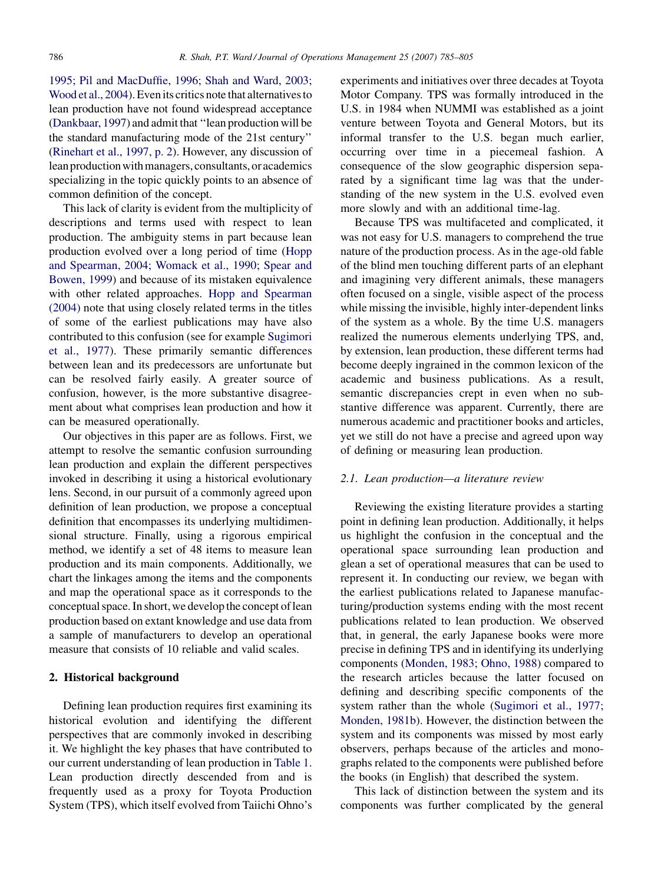[1995; Pil and MacDuffie, 1996; Shah and Ward, 2003;](#page--1-0) [Wood et al., 2004\)](#page--1-0). Even its critics note that alternatives to lean production have not found widespread acceptance [\(Dankbaar, 1997](#page--1-0)) and admit that ''lean production will be the standard manufacturing mode of the 21st century'' [\(Rinehart et al., 1997, p. 2](#page--1-0)). However, any discussion of lean production with managers, consultants, or academics specializing in the topic quickly points to an absence of common definition of the concept.

This lack of clarity is evident from the multiplicity of descriptions and terms used with respect to lean production. The ambiguity stems in part because lean production evolved over a long period of time [\(Hopp](#page--1-0) [and Spearman, 2004; Womack et al., 1990; Spear and](#page--1-0) [Bowen, 1999\)](#page--1-0) and because of its mistaken equivalence with other related approaches. [Hopp and Spearman](#page--1-0) [\(2004\)](#page--1-0) note that using closely related terms in the titles of some of the earliest publications may have also contributed to this confusion (see for example [Sugimori](#page--1-0) [et al., 1977](#page--1-0)). These primarily semantic differences between lean and its predecessors are unfortunate but can be resolved fairly easily. A greater source of confusion, however, is the more substantive disagreement about what comprises lean production and how it can be measured operationally.

Our objectives in this paper are as follows. First, we attempt to resolve the semantic confusion surrounding lean production and explain the different perspectives invoked in describing it using a historical evolutionary lens. Second, in our pursuit of a commonly agreed upon definition of lean production, we propose a conceptual definition that encompasses its underlying multidimensional structure. Finally, using a rigorous empirical method, we identify a set of 48 items to measure lean production and its main components. Additionally, we chart the linkages among the items and the components and map the operational space as it corresponds to the conceptual space. In short, we develop the concept of lean production based on extant knowledge and use data from a sample of manufacturers to develop an operational measure that consists of 10 reliable and valid scales.

#### 2. Historical background

Defining lean production requires first examining its historical evolution and identifying the different perspectives that are commonly invoked in describing it. We highlight the key phases that have contributed to our current understanding of lean production in [Table 1.](#page--1-0) Lean production directly descended from and is frequently used as a proxy for Toyota Production System (TPS), which itself evolved from Taiichi Ohno's

experiments and initiatives over three decades at Toyota Motor Company. TPS was formally introduced in the U.S. in 1984 when NUMMI was established as a joint venture between Toyota and General Motors, but its informal transfer to the U.S. began much earlier, occurring over time in a piecemeal fashion. A consequence of the slow geographic dispersion separated by a significant time lag was that the understanding of the new system in the U.S. evolved even more slowly and with an additional time-lag.

Because TPS was multifaceted and complicated, it was not easy for U.S. managers to comprehend the true nature of the production process. As in the age-old fable of the blind men touching different parts of an elephant and imagining very different animals, these managers often focused on a single, visible aspect of the process while missing the invisible, highly inter-dependent links of the system as a whole. By the time U.S. managers realized the numerous elements underlying TPS, and, by extension, lean production, these different terms had become deeply ingrained in the common lexicon of the academic and business publications. As a result, semantic discrepancies crept in even when no substantive difference was apparent. Currently, there are numerous academic and practitioner books and articles, yet we still do not have a precise and agreed upon way of defining or measuring lean production.

### 2.1. Lean production—a literature review

Reviewing the existing literature provides a starting point in defining lean production. Additionally, it helps us highlight the confusion in the conceptual and the operational space surrounding lean production and glean a set of operational measures that can be used to represent it. In conducting our review, we began with the earliest publications related to Japanese manufacturing/production systems ending with the most recent publications related to lean production. We observed that, in general, the early Japanese books were more precise in defining TPS and in identifying its underlying components [\(Monden, 1983; Ohno, 1988\)](#page--1-0) compared to the research articles because the latter focused on defining and describing specific components of the system rather than the whole [\(Sugimori et al., 1977;](#page--1-0) [Monden, 1981b\)](#page--1-0). However, the distinction between the system and its components was missed by most early observers, perhaps because of the articles and monographs related to the components were published before the books (in English) that described the system.

This lack of distinction between the system and its components was further complicated by the general